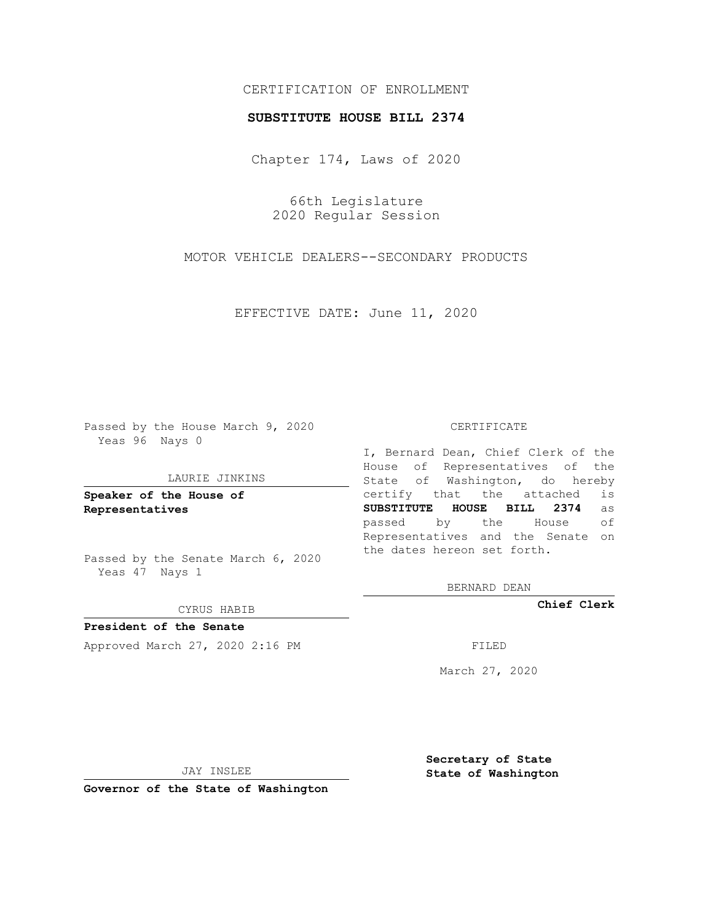## CERTIFICATION OF ENROLLMENT

### **SUBSTITUTE HOUSE BILL 2374**

Chapter 174, Laws of 2020

66th Legislature 2020 Regular Session

MOTOR VEHICLE DEALERS--SECONDARY PRODUCTS

EFFECTIVE DATE: June 11, 2020

Passed by the House March 9, 2020 Yeas 96 Nays 0

#### LAURIE JINKINS

**Speaker of the House of Representatives**

Passed by the Senate March 6, 2020 Yeas 47 Nays 1

#### CYRUS HABIB

**President of the Senate** Approved March 27, 2020 2:16 PM

#### CERTIFICATE

I, Bernard Dean, Chief Clerk of the House of Representatives of the State of Washington, do hereby certify that the attached is **SUBSTITUTE HOUSE BILL 2374** as passed by the House of Representatives and the Senate on the dates hereon set forth.

BERNARD DEAN

**Chief Clerk**

March 27, 2020

JAY INSLEE

**Governor of the State of Washington**

**Secretary of State State of Washington**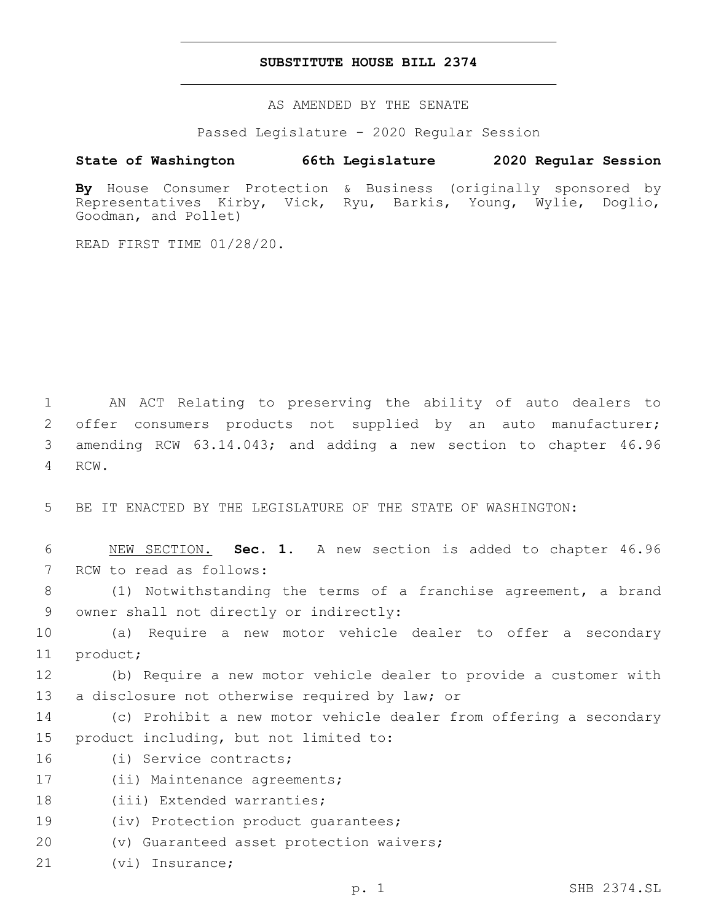## **SUBSTITUTE HOUSE BILL 2374**

AS AMENDED BY THE SENATE

Passed Legislature - 2020 Regular Session

# **State of Washington 66th Legislature 2020 Regular Session**

**By** House Consumer Protection & Business (originally sponsored by Representatives Kirby, Vick, Ryu, Barkis, Young, Wylie, Doglio, Goodman, and Pollet)

READ FIRST TIME 01/28/20.

 AN ACT Relating to preserving the ability of auto dealers to offer consumers products not supplied by an auto manufacturer; amending RCW 63.14.043; and adding a new section to chapter 46.96 4 RCW.

5 BE IT ENACTED BY THE LEGISLATURE OF THE STATE OF WASHINGTON:

6 NEW SECTION. **Sec. 1.** A new section is added to chapter 46.96 7 RCW to read as follows:

8 (1) Notwithstanding the terms of a franchise agreement, a brand 9 owner shall not directly or indirectly:

10 (a) Require a new motor vehicle dealer to offer a secondary 11 product;

12 (b) Require a new motor vehicle dealer to provide a customer with 13 a disclosure not otherwise required by law; or

- 14 (c) Prohibit a new motor vehicle dealer from offering a secondary 15 product including, but not limited to:
- 16 (i) Service contracts;
- 17 (ii) Maintenance agreements;

18 (iii) Extended warranties;

19 (iv) Protection product quarantees;

- 20 (v) Guaranteed asset protection waivers;
- 21 (vi) Insurance;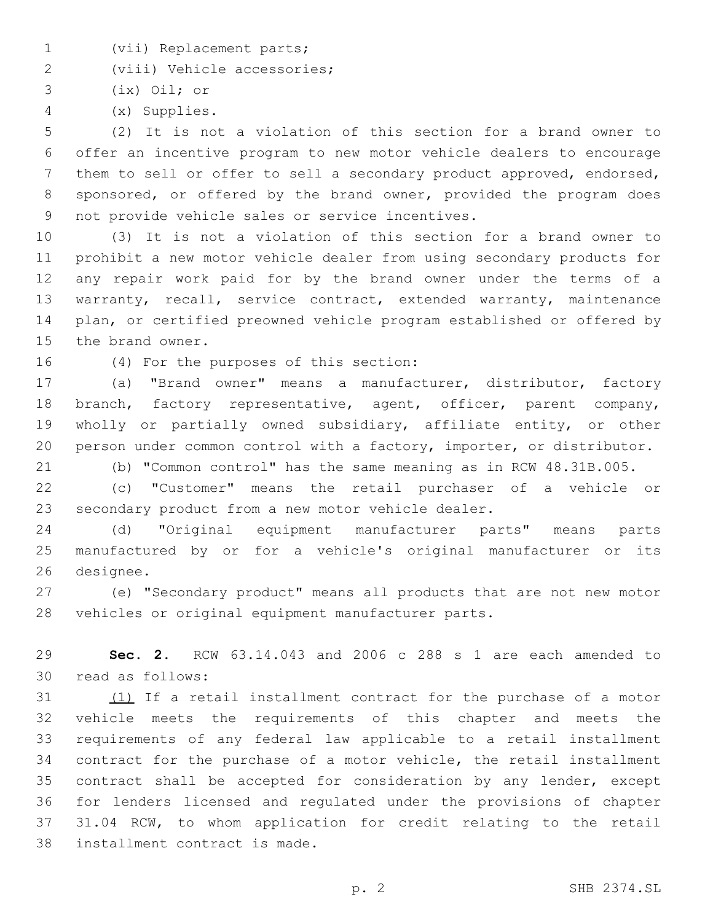- 1 (vii) Replacement parts;
- 2 (viii) Vehicle accessories;

3 (ix) Oil; or

(x) Supplies.4

 (2) It is not a violation of this section for a brand owner to offer an incentive program to new motor vehicle dealers to encourage them to sell or offer to sell a secondary product approved, endorsed, sponsored, or offered by the brand owner, provided the program does 9 not provide vehicle sales or service incentives.

 (3) It is not a violation of this section for a brand owner to prohibit a new motor vehicle dealer from using secondary products for any repair work paid for by the brand owner under the terms of a warranty, recall, service contract, extended warranty, maintenance plan, or certified preowned vehicle program established or offered by 15 the brand owner.

16 (4) For the purposes of this section:

 (a) "Brand owner" means a manufacturer, distributor, factory branch, factory representative, agent, officer, parent company, wholly or partially owned subsidiary, affiliate entity, or other person under common control with a factory, importer, or distributor.

(b) "Common control" has the same meaning as in RCW 48.31B.005.

 (c) "Customer" means the retail purchaser of a vehicle or secondary product from a new motor vehicle dealer.

 (d) "Original equipment manufacturer parts" means parts manufactured by or for a vehicle's original manufacturer or its 26 designee.

 (e) "Secondary product" means all products that are not new motor vehicles or original equipment manufacturer parts.

 **Sec. 2.** RCW 63.14.043 and 2006 c 288 s 1 are each amended to 30 read as follows:

 (1) If a retail installment contract for the purchase of a motor vehicle meets the requirements of this chapter and meets the requirements of any federal law applicable to a retail installment contract for the purchase of a motor vehicle, the retail installment contract shall be accepted for consideration by any lender, except for lenders licensed and regulated under the provisions of chapter 31.04 RCW, to whom application for credit relating to the retail 38 installment contract is made.